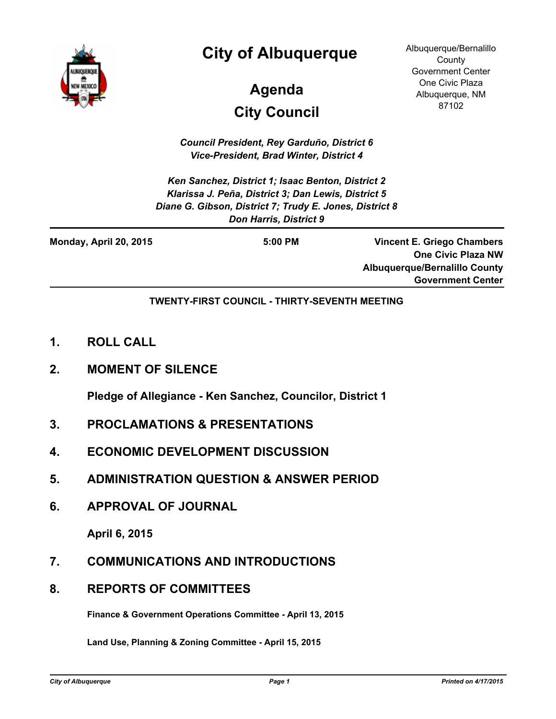

# **City of Albuquerque**

# **City Council Agenda**

Albuquerque/Bernalillo **County** Government Center One Civic Plaza Albuquerque, NM 87102

*Council President, Rey Garduño, District 6 Vice-President, Brad Winter, District 4*

*Ken Sanchez, District 1; Isaac Benton, District 2 Klarissa J. Peña, District 3; Dan Lewis, District 5 Diane G. Gibson, District 7; Trudy E. Jones, District 8 Don Harris, District 9*

| Monday, April 20, 2015 | $5:00$ PM | <b>Vincent E. Griego Chambers</b>    |
|------------------------|-----------|--------------------------------------|
|                        |           | <b>One Civic Plaza NW</b>            |
|                        |           | <b>Albuquerque/Bernalillo County</b> |
|                        |           | <b>Government Center</b>             |

**TWENTY-FIRST COUNCIL - THIRTY-SEVENTH MEETING**

- **1. ROLL CALL**
- **2. MOMENT OF SILENCE**

**Pledge of Allegiance - Ken Sanchez, Councilor, District 1**

- **3. PROCLAMATIONS & PRESENTATIONS**
- **4. ECONOMIC DEVELOPMENT DISCUSSION**
- **5. ADMINISTRATION QUESTION & ANSWER PERIOD**
- **6. APPROVAL OF JOURNAL**

**April 6, 2015**

- **7. COMMUNICATIONS AND INTRODUCTIONS**
- **8. REPORTS OF COMMITTEES**

**Finance & Government Operations Committee - April 13, 2015**

**Land Use, Planning & Zoning Committee - April 15, 2015**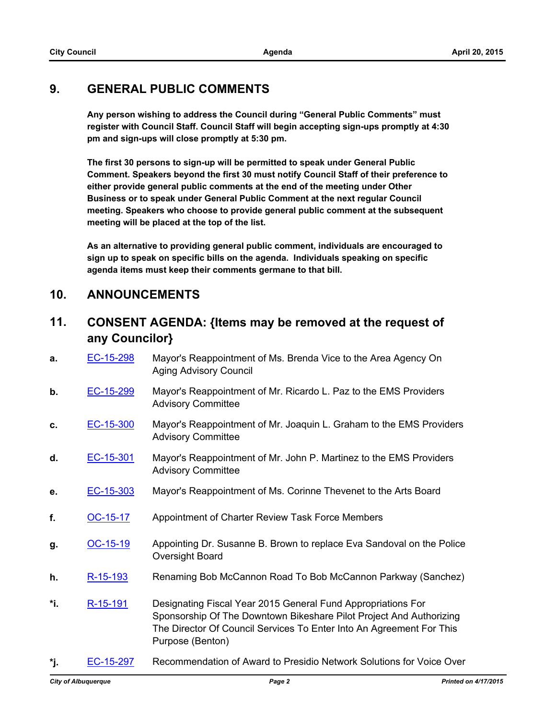#### **9. GENERAL PUBLIC COMMENTS**

**Any person wishing to address the Council during "General Public Comments" must register with Council Staff. Council Staff will begin accepting sign-ups promptly at 4:30 pm and sign-ups will close promptly at 5:30 pm.**

**The first 30 persons to sign-up will be permitted to speak under General Public Comment. Speakers beyond the first 30 must notify Council Staff of their preference to either provide general public comments at the end of the meeting under Other Business or to speak under General Public Comment at the next regular Council meeting. Speakers who choose to provide general public comment at the subsequent meeting will be placed at the top of the list.**

**As an alternative to providing general public comment, individuals are encouraged to sign up to speak on specific bills on the agenda. Individuals speaking on specific agenda items must keep their comments germane to that bill.**

#### **10. ANNOUNCEMENTS**

## **11. CONSENT AGENDA: {Items may be removed at the request of any Councilor}**

- **a.** [EC-15-298](http://cabq.legistar.com/gateway.aspx?m=l&id=/matter.aspx?key=9634) Mayor's Reappointment of Ms. Brenda Vice to the Area Agency On Aging Advisory Council
- **b.** [EC-15-299](http://cabq.legistar.com/gateway.aspx?m=l&id=/matter.aspx?key=9635) Mayor's Reappointment of Mr. Ricardo L. Paz to the EMS Providers Advisory Committee
- **c.** [EC-15-300](http://cabq.legistar.com/gateway.aspx?m=l&id=/matter.aspx?key=9638) Mayor's Reappointment of Mr. Joaquin L. Graham to the EMS Providers Advisory Committee
- **d.** [EC-15-301](http://cabq.legistar.com/gateway.aspx?m=l&id=/matter.aspx?key=9644) Mayor's Reappointment of Mr. John P. Martinez to the EMS Providers Advisory Committee
- **e.** [EC-15-303](http://cabq.legistar.com/gateway.aspx?m=l&id=/matter.aspx?key=9652) Mayor's Reappointment of Ms. Corinne Thevenet to the Arts Board
- **f.** [OC-15-17](http://cabq.legistar.com/gateway.aspx?m=l&id=/matter.aspx?key=9639) Appointment of Charter Review Task Force Members
- **g.** [OC-15-19](http://cabq.legistar.com/gateway.aspx?m=l&id=/matter.aspx?key=9654) Appointing Dr. Susanne B. Brown to replace Eva Sandoval on the Police Oversight Board
- **h.** [R-15-193](http://cabq.legistar.com/gateway.aspx?m=l&id=/matter.aspx?key=9658) Renaming Bob McCannon Road To Bob McCannon Parkway (Sanchez)
- **\*i.** [R-15-191](http://cabq.legistar.com/gateway.aspx?m=l&id=/matter.aspx?key=9655) Designating Fiscal Year 2015 General Fund Appropriations For Sponsorship Of The Downtown Bikeshare Pilot Project And Authorizing The Director Of Council Services To Enter Into An Agreement For This Purpose (Benton)
- **\*j.** [EC-15-297](http://cabq.legistar.com/gateway.aspx?m=l&id=/matter.aspx?key=9633) Recommendation of Award to Presidio Network Solutions for Voice Over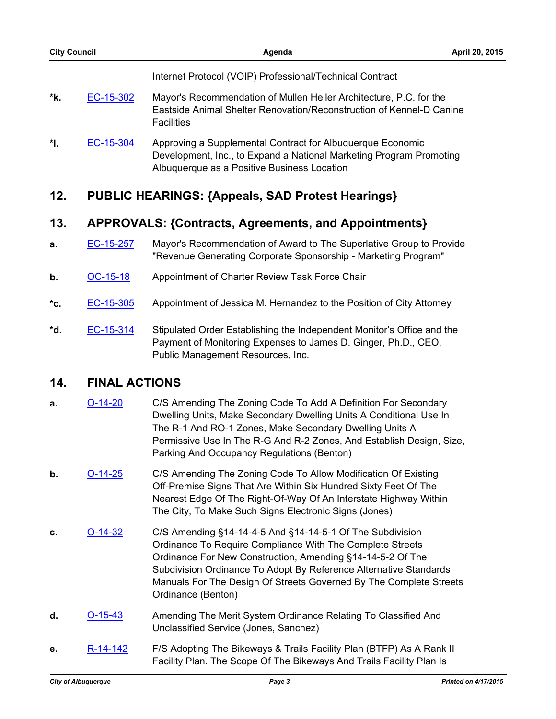Internet Protocol (VOIP) Professional/Technical Contract

- **\*k.** [EC-15-302](http://cabq.legistar.com/gateway.aspx?m=l&id=/matter.aspx?key=9650) Mayor's Recommendation of Mullen Heller Architecture, P.C. for the Eastside Animal Shelter Renovation/Reconstruction of Kennel-D Canine **Facilities**
- **\*l.** [EC-15-304](http://cabq.legistar.com/gateway.aspx?m=l&id=/matter.aspx?key=9661) Approving a Supplemental Contract for Albuquerque Economic Development, Inc., to Expand a National Marketing Program Promoting Albuquerque as a Positive Business Location

# **12. PUBLIC HEARINGS: {Appeals, SAD Protest Hearings}**

## **13. APPROVALS: {Contracts, Agreements, and Appointments}**

- **a.** [EC-15-257](http://cabq.legistar.com/gateway.aspx?m=l&id=/matter.aspx?key=9550) Mayor's Recommendation of Award to The Superlative Group to Provide "Revenue Generating Corporate Sponsorship - Marketing Program"
- **b.** [OC-15-18](http://cabq.legistar.com/gateway.aspx?m=l&id=/matter.aspx?key=9640) Appointment of Charter Review Task Force Chair
- **\*c.** [EC-15-305](http://cabq.legistar.com/gateway.aspx?m=l&id=/matter.aspx?key=9663) Appointment of Jessica M. Hernandez to the Position of City Attorney
- **\*d.** [EC-15-314](http://cabq.legistar.com/gateway.aspx?m=l&id=/matter.aspx?key=9672) Stipulated Order Establishing the Independent Monitor's Office and the Payment of Monitoring Expenses to James D. Ginger, Ph.D., CEO, Public Management Resources, Inc.

#### **14. FINAL ACTIONS**

- **a. [O-14-20](http://cabq.legistar.com/gateway.aspx?m=l&id=/matter.aspx?key=9313)** C/S Amending The Zoning Code To Add A Definition For Secondary Dwelling Units, Make Secondary Dwelling Units A Conditional Use In The R-1 And RO-1 Zones, Make Secondary Dwelling Units A Permissive Use In The R-G And R-2 Zones, And Establish Design, Size, Parking And Occupancy Regulations (Benton)
- **b. [O-14-25](http://cabq.legistar.com/gateway.aspx?m=l&id=/matter.aspx?key=9401)** C/S Amending The Zoning Code To Allow Modification Of Existing Off-Premise Signs That Are Within Six Hundred Sixty Feet Of The Nearest Edge Of The Right-Of-Way Of An Interstate Highway Within The City, To Make Such Signs Electronic Signs (Jones)
- **c.** [O-14-32](http://cabq.legistar.com/gateway.aspx?m=l&id=/matter.aspx?key=9423) C/S Amending §14-14-4-5 And §14-14-5-1 Of The Subdivision Ordinance To Require Compliance With The Complete Streets Ordinance For New Construction, Amending §14-14-5-2 Of The Subdivision Ordinance To Adopt By Reference Alternative Standards Manuals For The Design Of Streets Governed By The Complete Streets Ordinance (Benton)
- **d.** [O-15-43](http://cabq.legistar.com/gateway.aspx?m=l&id=/matter.aspx?key=9583) Amending The Merit System Ordinance Relating To Classified And Unclassified Service (Jones, Sanchez)
- **e.** [R-14-142](http://cabq.legistar.com/gateway.aspx?m=l&id=/matter.aspx?key=9475) F/S Adopting The Bikeways & Trails Facility Plan (BTFP) As A Rank II Facility Plan. The Scope Of The Bikeways And Trails Facility Plan Is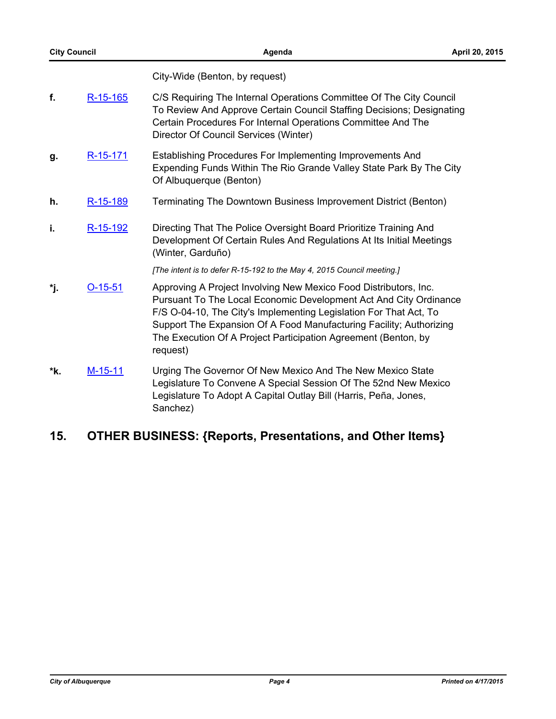City-Wide (Benton, by request)

- **f.** [R-15-165](http://cabq.legistar.com/gateway.aspx?m=l&id=/matter.aspx?key=9553) C/S Requiring The Internal Operations Committee Of The City Council To Review And Approve Certain Council Staffing Decisions; Designating Certain Procedures For Internal Operations Committee And The Director Of Council Services (Winter)
- g. [R-15-171](http://cabq.legistar.com/gateway.aspx?m=l&id=/matter.aspx?key=9584) Establishing Procedures For Implementing Improvements And Expending Funds Within The Rio Grande Valley State Park By The City Of Albuquerque (Benton)
- **h.** [R-15-189](http://cabq.legistar.com/gateway.aspx?m=l&id=/matter.aspx?key=9651) Terminating The Downtown Business Improvement District (Benton)
- **i.** [R-15-192](http://cabq.legistar.com/gateway.aspx?m=l&id=/matter.aspx?key=9656) Directing That The Police Oversight Board Prioritize Training And Development Of Certain Rules And Regulations At Its Initial Meetings (Winter, Garduño)

*[The intent is to defer R-15-192 to the May 4, 2015 Council meeting.]*

- **\*j.** [O-15-51](http://cabq.legistar.com/gateway.aspx?m=l&id=/matter.aspx?key=9660) Approving A Project Involving New Mexico Food Distributors, Inc. Pursuant To The Local Economic Development Act And City Ordinance F/S O-04-10, The City's Implementing Legislation For That Act, To Support The Expansion Of A Food Manufacturing Facility; Authorizing The Execution Of A Project Participation Agreement (Benton, by request)
- **\*k.** [M-15-11](http://cabq.legistar.com/gateway.aspx?m=l&id=/matter.aspx?key=9682) Urging The Governor Of New Mexico And The New Mexico State Legislature To Convene A Special Session Of The 52nd New Mexico Legislature To Adopt A Capital Outlay Bill (Harris, Peña, Jones, Sanchez)

## **15. OTHER BUSINESS: {Reports, Presentations, and Other Items}**